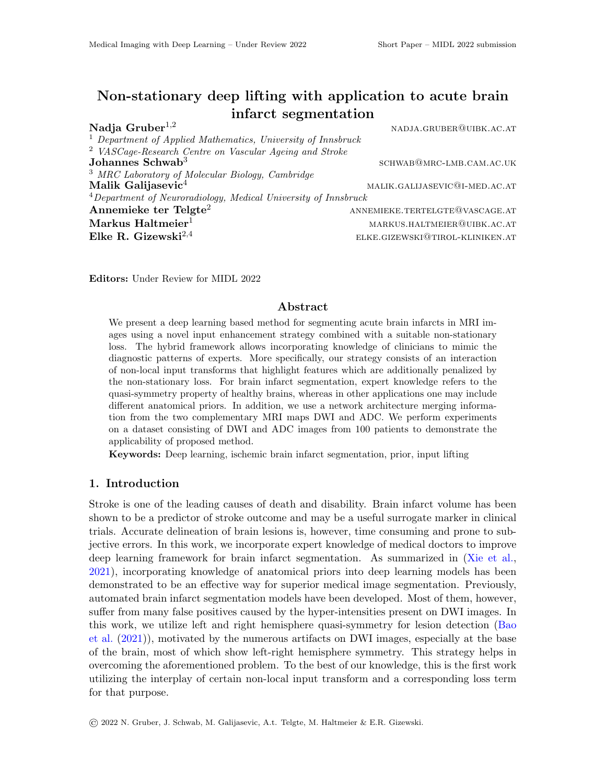# Non-stationary deep lifting with application to acute brain infarct segmentation

| Nadja Gruber $^{1,2}$                                                                             | NADJA.GRUBER@UIBK.AC.AT                      |
|---------------------------------------------------------------------------------------------------|----------------------------------------------|
| $1$ Department of Applied Mathematics, University of Innsbruck                                    |                                              |
| <sup>2</sup> VASCage-Research Centre on Vascular Ageing and Stroke                                |                                              |
| Johannes $Schwab3$                                                                                | SCHWAB@MRC-LMB.CAM.AC.UK                     |
| <sup>3</sup> MRC Laboratory of Molecular Biology, Cambridge <b>Malik Galijasevic</b> <sup>4</sup> |                                              |
|                                                                                                   | MALIK.GALIJASEVIC <sup>Q</sup> I-MED.AC.AT   |
| $4$ Department of Neuroradiology, Medical University of Innsbruck                                 |                                              |
| Annemieke ter Telgte <sup>2</sup>                                                                 | ANNEMIEKE.TERTELGTE@VASCAGE.AT               |
| $\operatorname{Markus}\nolimits\operatorname{Haltmeier}\nolimits^1$                               | $\operatorname{MARKUS.HALTMEIER@UIBK.AC.AT}$ |
| Elke R. Gizewski <sup>2,4</sup>                                                                   | ELKE.GIZEWSKI@TIROL-KLINIKEN.AT              |
|                                                                                                   |                                              |

Editors: Under Review for MIDL 2022

#### Abstract

We present a deep learning based method for segmenting acute brain infarcts in MRI images using a novel input enhancement strategy combined with a suitable non-stationary loss. The hybrid framework allows incorporating knowledge of clinicians to mimic the diagnostic patterns of experts. More specifically, our strategy consists of an interaction of non-local input transforms that highlight features which are additionally penalized by the non-stationary loss. For brain infarct segmentation, expert knowledge refers to the quasi-symmetry property of healthy brains, whereas in other applications one may include different anatomical priors. In addition, we use a network architecture merging information from the two complementary MRI maps DWI and ADC. We perform experiments on a dataset consisting of DWI and ADC images from 100 patients to demonstrate the applicability of proposed method.

Keywords: Deep learning, ischemic brain infarct segmentation, prior, input lifting

#### 1. Introduction

Stroke is one of the leading causes of death and disability. Brain infarct volume has been shown to be a predictor of stroke outcome and may be a useful surrogate marker in clinical trials. Accurate delineation of brain lesions is, however, time consuming and prone to subjective errors. In this work, we incorporate expert knowledge of medical doctors to improve deep learning framework for brain infarct segmentation. As summarized in [\(Xie et al.,](#page-2-0) [2021\)](#page-2-0), incorporating knowledge of anatomical priors into deep learning models has been demonstrated to be an effective way for superior medical image segmentation. Previously, automated brain infarct segmentation models have been developed. Most of them, however, suffer from many false positives caused by the hyper-intensities present on DWI images. In this work, we utilize left and right hemisphere quasi-symmetry for lesion detection [\(Bao](#page-2-1) [et al.](#page-2-1) [\(2021\)](#page-2-1)), motivated by the numerous artifacts on DWI images, especially at the base of the brain, most of which show left-right hemisphere symmetry. This strategy helps in overcoming the aforementioned problem. To the best of our knowledge, this is the first work utilizing the interplay of certain non-local input transform and a corresponding loss term for that purpose.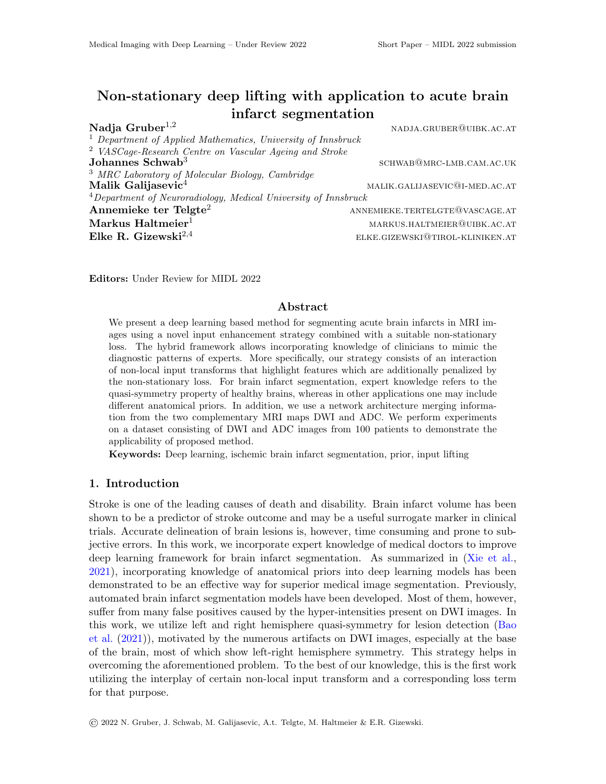## 2. Method

In this work, we add non-local prior information to the training process by lifting network inputs through a suitable transformation to a higher-dimensional space. For brain infarct segmentation the property of asymmetry that indicates pathological changes in the brain, is exploited. To this end, a symmetry transform is applied to the most important type of MRI image for stroke detection, namely the DWI image, which subsequently serves as an additional input channel for the input X. Together with the network architecture (Figure [2\)](#page-2-2), which cleverly combines complementary information, and the loss term, which additionally penalizes symmetries, the problem of distinguishing between hyper-intensities caused by a brain infarct and those not attributable to a lesion, is addressed.

Let X and Y denote lifted input and ground truth respectively and  $\Phi_{\theta}(X)$  the output of the model. Then, our proposed non-stationary loss function is of the form

$$
\mathcal{L}^{\text{total}}_t(\Phi_{\theta}(X), Y) = \mathcal{L}^{\text{data}}(\Phi_{\theta}(X), Y) + \lambda(t) \cdot \mathcal{L}^{\text{prior}}(\Phi_{\theta}(X)).
$$
\n(1)

Here,  $\lambda(t)$  is the regularization parameter which is chosen depending on current epoch t and is increasing throughout the training process (in the numerical example we take  $\lambda(t) = 0.0001 \cdot t^2$ .

$$
\mathcal{L}^{\text{data}}_t(\Phi_{\theta}(X), Y) \triangleq \alpha \, \text{BCE}_w(\Phi_{\theta}(X), Y) + (1 - \alpha) \, \text{DICE}(\Phi_{\theta}(X), Y).
$$

Here, similar to [\(Taghanaki et al.,](#page-2-3) [2019\)](#page-2-3),  $BCE_w$  denotes the weighted binary cross-entropy, where we define  $w$  as the balancing factor between the number of lesion and background pixels, respectively. Further,  $\alpha$  is the weighting parameter specifying the importance of BCE and DICE in the loss function which is set to 0.99 in our experiments. Both, the lifting and the non-stationary augmented loss are essential ingredients of our expert driven deep lifting framework.



Figure 1: Visualization of the employed network architecture with corresponding input transforms (difference (DWI-ADC), correlation (DWI·ADC), symmetryenhancement) and interacting prior term, where  $F$  defines a maxpooling.